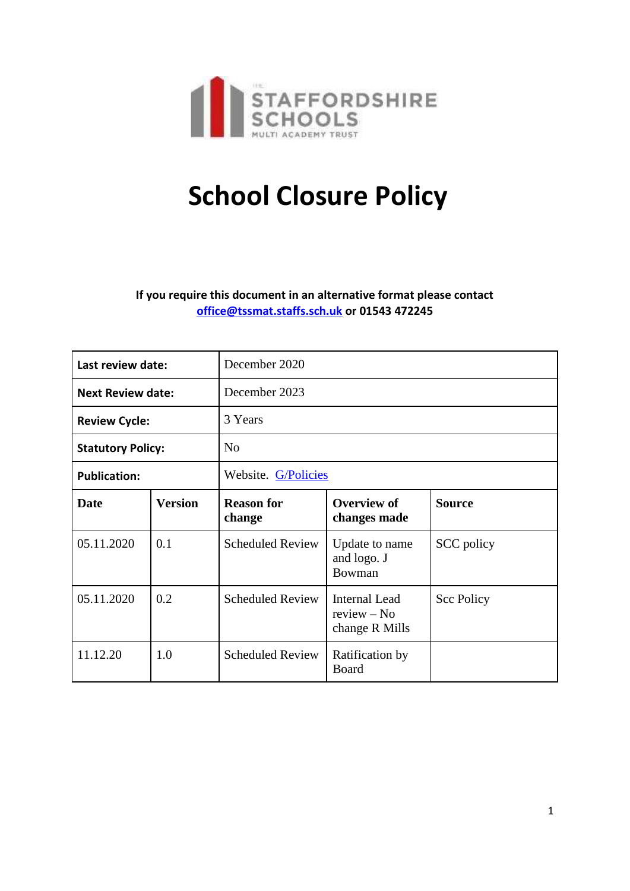

# **School Closure Policy**

**If you require this document in an alternative format please contact [office@tssmat.staffs.sch.uk](mailto:office@tssmat.staffs.sch.uk) or 01543 472245**

| Last review date:        |                | December 2020               |                                                         |                   |
|--------------------------|----------------|-----------------------------|---------------------------------------------------------|-------------------|
| <b>Next Review date:</b> |                | December 2023               |                                                         |                   |
| <b>Review Cycle:</b>     |                | 3 Years                     |                                                         |                   |
| <b>Statutory Policy:</b> |                | N <sub>o</sub>              |                                                         |                   |
| <b>Publication:</b>      |                | Website. G/Policies         |                                                         |                   |
| Date                     | <b>Version</b> | <b>Reason for</b><br>change | Overview of<br>changes made                             | <b>Source</b>     |
| 05.11.2020               | 0.1            | <b>Scheduled Review</b>     | Update to name<br>and logo. J<br>Bowman                 | SCC policy        |
| 05.11.2020               | 0.2            | <b>Scheduled Review</b>     | <b>Internal Lead</b><br>$review - No$<br>change R Mills | <b>Scc Policy</b> |
| 11.12.20                 | 1.0            | <b>Scheduled Review</b>     | Ratification by<br>Board                                |                   |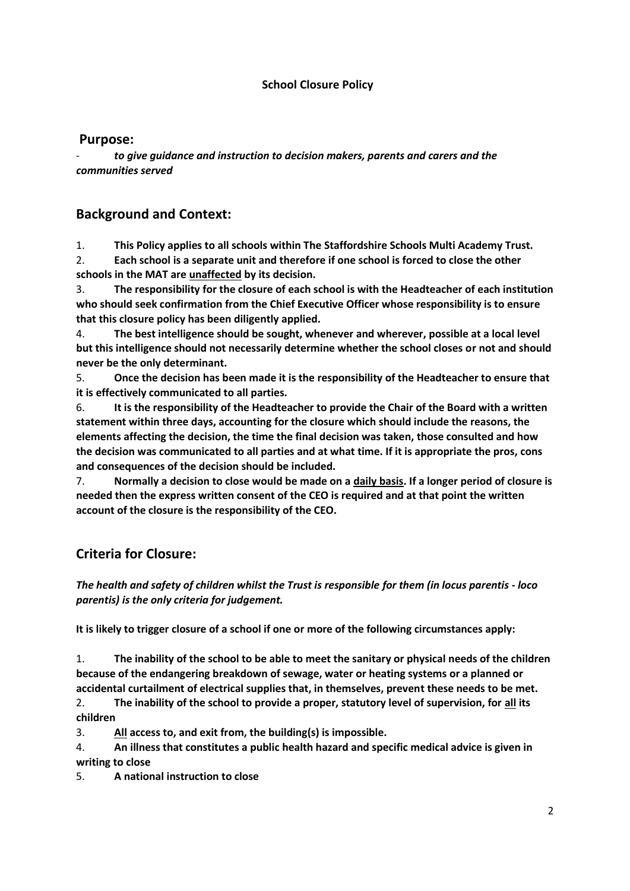#### **School Closure Policy**

#### **Purpose:**

- *to give guidance and instruction to decision makers, parents and carers and the communities served*

#### **Background and Context:**

1. **This Policy applies to all schools within The Staffordshire Schools Multi Academy Trust.** 2. **Each school is a separate unit and therefore if one school is forced to close the other schools in the MAT are unaffected by its decision.**

3. **The responsibility for the closure of each school is with the Headteacher of each institution who should seek confirmation from the Chief Executive Officer whose responsibility is to ensure that this closure policy has been diligently applied.**

4. **The best intelligence should be sought, whenever and wherever, possible at a local level but this intelligence should not necessarily determine whether the school closes or not and should never be the only determinant.**

5. **Once the decision has been made it is the responsibility of the Headteacher to ensure that it is effectively communicated to all parties.**

6. **It is the responsibility of the Headteacher to provide the Chair of the Board with a written statement within three days, accounting for the closure which should include the reasons, the elements affecting the decision, the time the final decision was taken, those consulted and how the decision was communicated to all parties and at what time. If it is appropriate the pros, cons and consequences of the decision should be included.**

7. **Normally a decision to close would be made on a daily basis. If a longer period of closure is needed then the express written consent of the CEO is required and at that point the written account of the closure is the responsibility of the CEO.**

## **Criteria for Closure:**

*The health and safety of children whilst the Trust is responsible for them (in locus parentis - loco parentis) is the only criteria for judgement.*

**It is likely to trigger closure of a school if one or more of the following circumstances apply:**

1. **The inability of the school to be able to meet the sanitary or physical needs of the children because of the endangering breakdown of sewage, water or heating systems or a planned or accidental curtailment of electrical supplies that, in themselves, prevent these needs to be met.**

2. **The inability of the school to provide a proper, statutory level of supervision, for all its children**

3. **All access to, and exit from, the building(s) is impossible.**

4. **An illness that constitutes a public health hazard and specific medical advice is given in writing to close**

5. **A national instruction to close**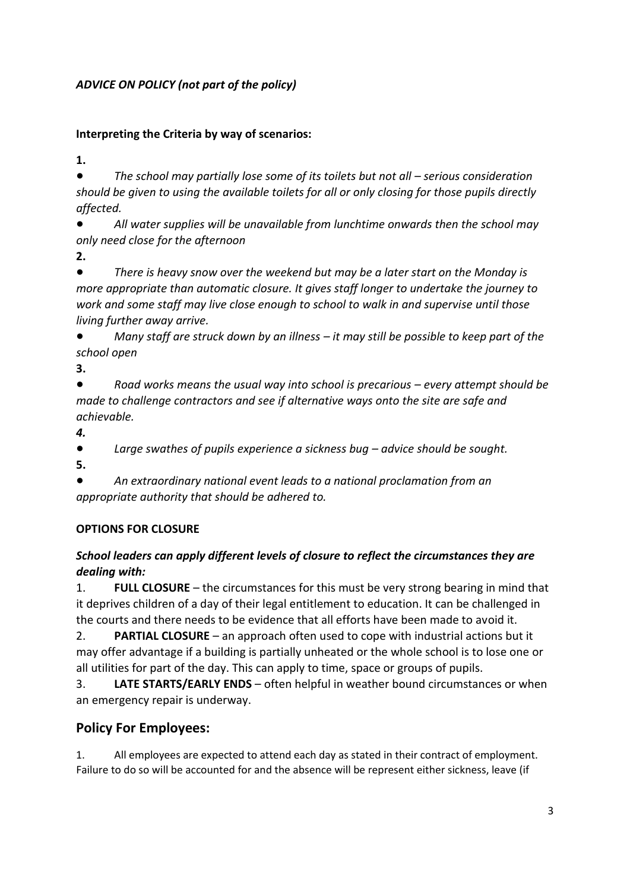## *ADVICE ON POLICY (not part of the policy)*

#### **Interpreting the Criteria by way of scenarios:**

**1.** 

● *The school may partially lose some of its toilets but not all – serious consideration should be given to using the available toilets for all or only closing for those pupils directly affected.* 

All water supplies will be unavailable from lunchtime onwards then the school may *only need close for the afternoon*

**2.**

● *There is heavy snow over the weekend but may be a later start on the Monday is more appropriate than automatic closure. It gives staff longer to undertake the journey to work and some staff may live close enough to school to walk in and supervise until those living further away arrive.*

● *Many staff are struck down by an illness – it may still be possible to keep part of the school open*

**3.**

● *Road works means the usual way into school is precarious – every attempt should be made to challenge contractors and see if alternative ways onto the site are safe and achievable.*

*4.*

● *Large swathes of pupils experience a sickness bug – advice should be sought.* **5.**

● *An extraordinary national event leads to a national proclamation from an appropriate authority that should be adhered to.*

# **OPTIONS FOR CLOSURE**

## *School leaders can apply different levels of closure to reflect the circumstances they are dealing with:*

1. **FULL CLOSURE** – the circumstances for this must be very strong bearing in mind that it deprives children of a day of their legal entitlement to education. It can be challenged in the courts and there needs to be evidence that all efforts have been made to avoid it.

2. **PARTIAL CLOSURE** – an approach often used to cope with industrial actions but it may offer advantage if a building is partially unheated or the whole school is to lose one or all utilities for part of the day. This can apply to time, space or groups of pupils.

3. **LATE STARTS/EARLY ENDS** – often helpful in weather bound circumstances or when an emergency repair is underway.

# **Policy For Employees:**

1. All employees are expected to attend each day as stated in their contract of employment. Failure to do so will be accounted for and the absence will be represent either sickness, leave (if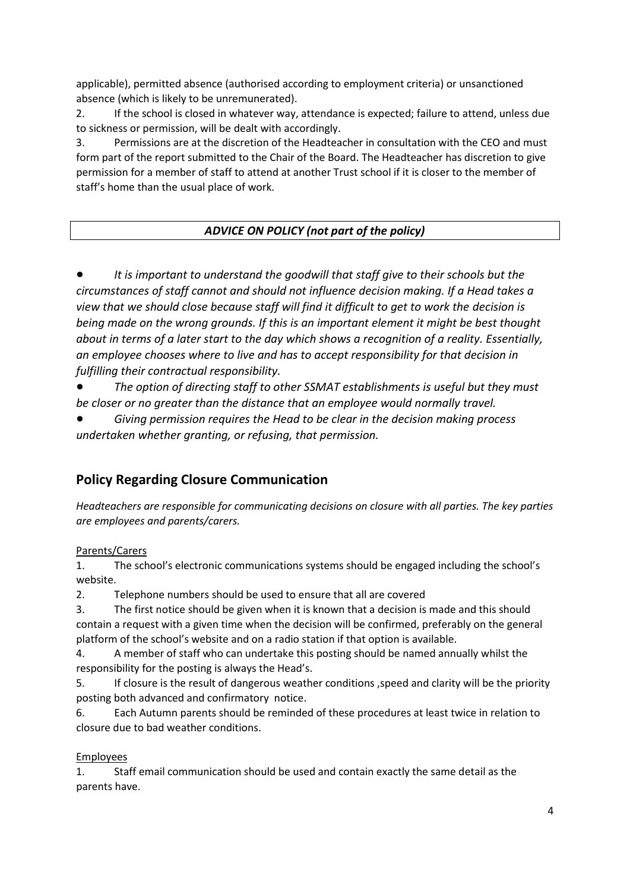applicable), permitted absence (authorised according to employment criteria) or unsanctioned absence (which is likely to be unremunerated).

2. If the school is closed in whatever way, attendance is expected; failure to attend, unless due to sickness or permission, will be dealt with accordingly.

3. Permissions are at the discretion of the Headteacher in consultation with the CEO and must form part of the report submitted to the Chair of the Board. The Headteacher has discretion to give permission for a member of staff to attend at another Trust school if it is closer to the member of staff's home than the usual place of work.

## *ADVICE ON POLICY (not part of the policy)*

It is important to understand the goodwill that staff give to their schools but the *circumstances of staff cannot and should not influence decision making. If a Head takes a view that we should close because staff will find it difficult to get to work the decision is being made on the wrong grounds. If this is an important element it might be best thought about in terms of a later start to the day which shows a recognition of a reality. Essentially, an employee chooses where to live and has to accept responsibility for that decision in fulfilling their contractual responsibility.*

The option of directing staff to other SSMAT establishments is useful but they must *be closer or no greater than the distance that an employee would normally travel.*

● *Giving permission requires the Head to be clear in the decision making process undertaken whether granting, or refusing, that permission.*

# **Policy Regarding Closure Communication**

*Headteachers are responsible for communicating decisions on closure with all parties. The key parties are employees and parents/carers.*

#### Parents/Carers

1. The school's electronic communications systems should be engaged including the school's website.

2. Telephone numbers should be used to ensure that all are covered

3. The first notice should be given when it is known that a decision is made and this should contain a request with a given time when the decision will be confirmed, preferably on the general platform of the school's website and on a radio station if that option is available.

4. A member of staff who can undertake this posting should be named annually whilst the responsibility for the posting is always the Head's.

5. If closure is the result of dangerous weather conditions ,speed and clarity will be the priority posting both advanced and confirmatory notice.

6. Each Autumn parents should be reminded of these procedures at least twice in relation to closure due to bad weather conditions.

#### Employees

1. Staff email communication should be used and contain exactly the same detail as the parents have.